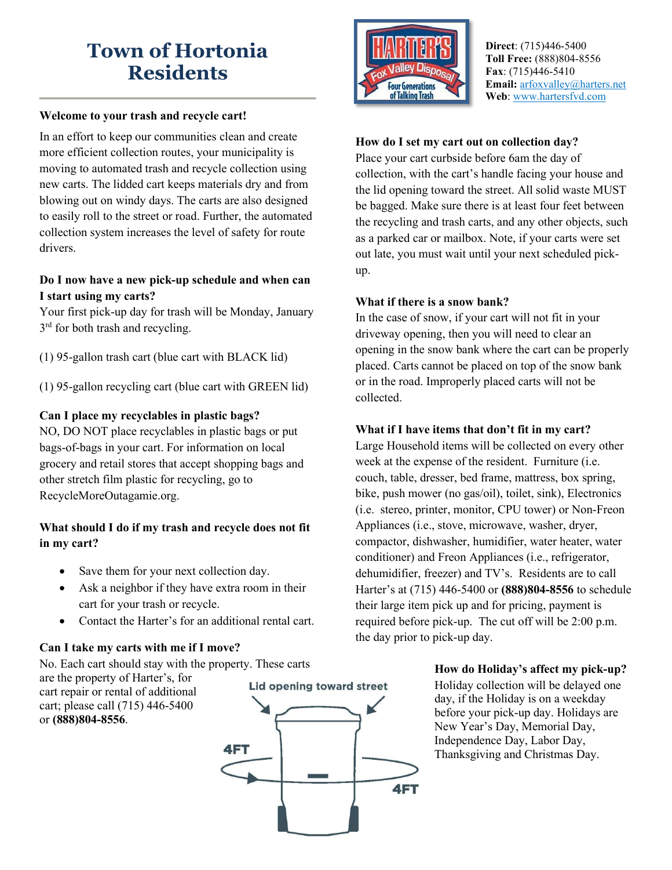# **Town of Hortonia Residents**

#### **Welcome to your trash and recycle cart!**

In an effort to keep our communities clean and create more efficient collection routes, your municipality is moving to automated trash and recycle collection using new carts. The lidded cart keeps materials dry and from blowing out on windy days. The carts are also designed to easily roll to the street or road. Further, the automated collection system increases the level of safety for route drivers.

# **Do I now have a new pick-up schedule and when can I start using my carts?**

Your first pick-up day for trash will be Monday, January  $3<sup>rd</sup>$  for both trash and recycling.

(1) 95-gallon trash cart (blue cart with BLACK lid)

(1) 95-gallon recycling cart (blue cart with GREEN lid)

# **Can I place my recyclables in plastic bags?**

NO, DO NOT place recyclables in plastic bags or put bags-of-bags in your cart. For information on local grocery and retail stores that accept shopping bags and other stretch film plastic for recycling, go to RecycleMoreOutagamie.org.

# **What should I do if my trash and recycle does not fit in my cart?**

- Save them for your next collection day.
- Ask a neighbor if they have extra room in their cart for your trash or recycle.
- Contact the Harter's for an additional rental cart.

# **Can I take my carts with me if I move?**

No. Each cart should stay with the property. These carts are the property of Harter's, for

cart repair or rental of additional cart; please call (715) 446-5400 or **(888)804-8556**.





**Direct**: (715)446-5400 **Toll Free:** (888)804-8556 **Fax**: (715)446-5410 **Email:** arfoxvalley@harters.net **Web**: www.hartersfvd.com

#### **How do I set my cart out on collection day?**

Place your cart curbside before 6am the day of collection, with the cart's handle facing your house and the lid opening toward the street. All solid waste MUST be bagged. Make sure there is at least four feet between the recycling and trash carts, and any other objects, such as a parked car or mailbox. Note, if your carts were set out late, you must wait until your next scheduled pickup.

# **What if there is a snow bank?**

In the case of snow, if your cart will not fit in your driveway opening, then you will need to clear an opening in the snow bank where the cart can be properly placed. Carts cannot be placed on top of the snow bank or in the road. Improperly placed carts will not be collected.

# **What if I have items that don't fit in my cart?**

Large Household items will be collected on every other week at the expense of the resident. Furniture (i.e. couch, table, dresser, bed frame, mattress, box spring, bike, push mower (no gas/oil), toilet, sink), Electronics (i.e. stereo, printer, monitor, CPU tower) or Non-Freon Appliances (i.e., stove, microwave, washer, dryer, compactor, dishwasher, humidifier, water heater, water conditioner) and Freon Appliances (i.e., refrigerator, dehumidifier, freezer) and TV's. Residents are to call Harter's at (715) 446-5400 or **(888)804-8556** to schedule their large item pick up and for pricing, payment is required before pick-up. The cut off will be 2:00 p.m. the day prior to pick-up day.

# **How do Holiday's affect my pick-up?**

Holiday collection will be delayed one day, if the Holiday is on a weekday before your pick-up day. Holidays are New Year's Day, Memorial Day, Independence Day, Labor Day, Thanksgiving and Christmas Day.